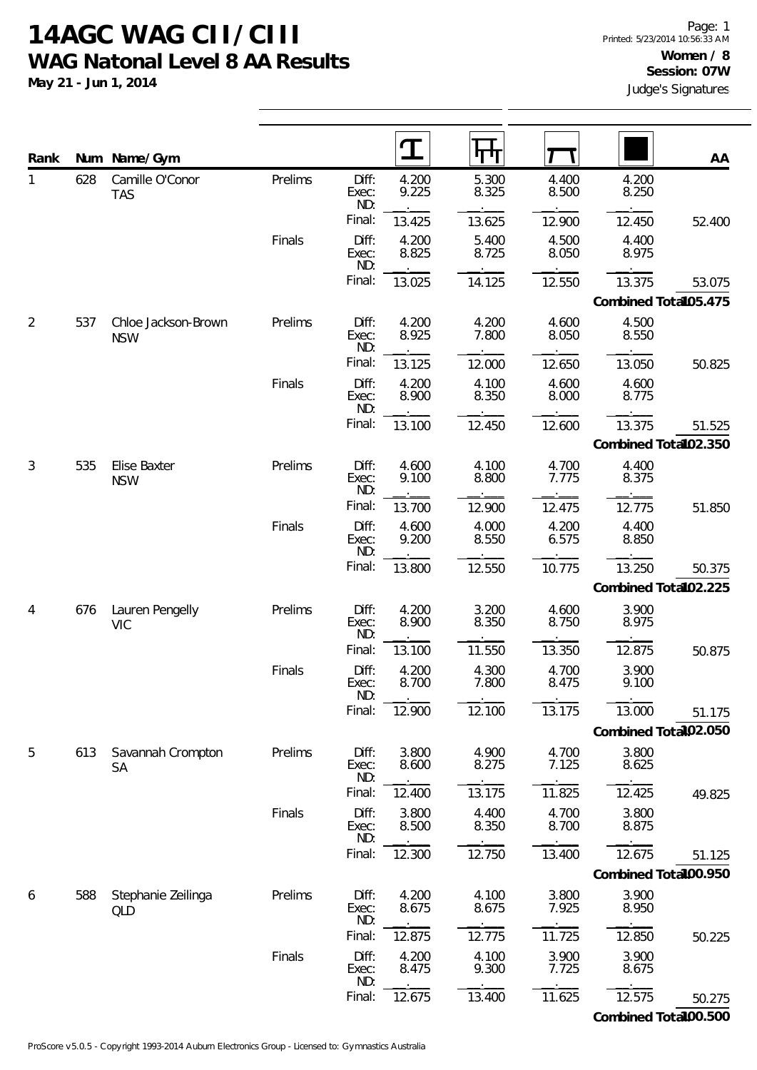**May 21 - Jun 1, 2014**

| Rank           | Num | Name/Gym                          |         |                       | I              |                |                |                      | AA     |
|----------------|-----|-----------------------------------|---------|-----------------------|----------------|----------------|----------------|----------------------|--------|
| $\mathbf{1}$   | 628 | Camille O'Conor<br><b>TAS</b>     | Prelims | Diff:<br>Exec:<br>ND: | 4.200<br>9.225 | 5.300<br>8.325 | 4.400<br>8.500 | 4.200<br>8.250       |        |
|                |     |                                   |         | Final:                | 13.425         | 13.625         | 12.900         | 12.450               | 52.400 |
|                |     |                                   | Finals  | Diff:<br>Exec:<br>ND: | 4.200<br>8.825 | 5.400<br>8.725 | 4.500<br>8.050 | 4.400<br>8.975       |        |
|                |     |                                   |         | Final:                | 13.025         | 14.125         | 12.550         | 13.375               | 53.075 |
|                |     |                                   |         |                       |                |                |                | Combined Total05.475 |        |
| $\overline{2}$ | 537 | Chloe Jackson-Brown<br><b>NSW</b> | Prelims | Diff:<br>Exec:<br>ND: | 4.200<br>8.925 | 4.200<br>7.800 | 4.600<br>8.050 | 4.500<br>8.550       |        |
|                |     |                                   |         | Final:                | 13.125         | 12.000         | 12.650         | 13.050               | 50.825 |
|                |     |                                   | Finals  | Diff:<br>Exec:<br>ND: | 4.200<br>8.900 | 4.100<br>8.350 | 4.600<br>8.000 | 4.600<br>8.775       |        |
|                |     |                                   |         | Final:                | 13.100         | 12.450         | 12.600         | 13.375               | 51.525 |
|                |     |                                   |         |                       |                |                |                | Combined Total02.350 |        |
| 3              | 535 | Elise Baxter<br><b>NSW</b>        | Prelims | Diff:<br>Exec:<br>ND: | 4.600<br>9.100 | 4.100<br>8.800 | 4.700<br>7.775 | 4.400<br>8.375       |        |
|                |     |                                   |         | Final:                | 13.700         | 12.900         | 12.475         | 12.775               | 51.850 |
|                |     |                                   | Finals  | Diff:<br>Exec:<br>ND: | 4.600<br>9.200 | 4.000<br>8.550 | 4.200<br>6.575 | 4.400<br>8.850       |        |
|                |     |                                   |         | Final:                | 13.800         | 12.550         | 10.775         | 13.250               | 50.375 |
|                |     |                                   |         |                       |                |                |                | Combined Total02.225 |        |
| 4              | 676 | Lauren Pengelly<br><b>VIC</b>     | Prelims | Diff:<br>Exec:<br>ND: | 4.200<br>8.900 | 3.200<br>8.350 | 4.600<br>8.750 | 3.900<br>8.975       |        |
|                |     |                                   |         | Final:                | 13.100         | 11.550         | 13.350         | 12.875               | 50.875 |
|                |     |                                   | Finals  | Diff:<br>Exec:<br>ND: | 4.200<br>8.700 | 4.300<br>7.800 | 4.700<br>8.475 | 3.900<br>9.100       |        |
|                |     |                                   |         | Final:                | 12.900         | 12.100         | 13.175         | 13.000               | 51.175 |
|                |     |                                   |         |                       |                |                |                | Combined Total02.050 |        |
| 5              | 613 | Savannah Crompton<br>SA           | Prelims | Diff:<br>Exec:<br>ND: | 3.800<br>8.600 | 4.900<br>8.275 | 4.700<br>7.125 | 3.800<br>8.625       |        |
|                |     |                                   |         | Final:                | 12.400         | 13.175         | 11.825         | 12.425               | 49.825 |
|                |     |                                   | Finals  | Diff:<br>Exec:<br>ND: | 3.800<br>8.500 | 4.400<br>8.350 | 4.700<br>8.700 | 3.800<br>8.875       |        |
|                |     |                                   |         | Final:                | 12.300         | 12.750         | 13.400         | 12.675               | 51.125 |
|                |     |                                   |         |                       |                |                |                | Combined Total00.950 |        |
| 6              | 588 | Stephanie Zeilinga<br>QLD         | Prelims | Diff:<br>Exec:<br>ND: | 4.200<br>8.675 | 4.100<br>8.675 | 3.800<br>7.925 | 3.900<br>8.950       |        |
|                |     |                                   |         | Final:                | 12.875         | 12.775         | 11.725         | 12.850               | 50.225 |
|                |     |                                   | Finals  | Diff:<br>Exec:<br>ND: | 4.200<br>8.475 | 4.100<br>9.300 | 3.900<br>7.725 | 3.900<br>8.675       |        |
|                |     |                                   |         | Final:                | 12.675         | 13.400         | 11.625         | 12.575               | 50.275 |

**Combined Total: 100.500**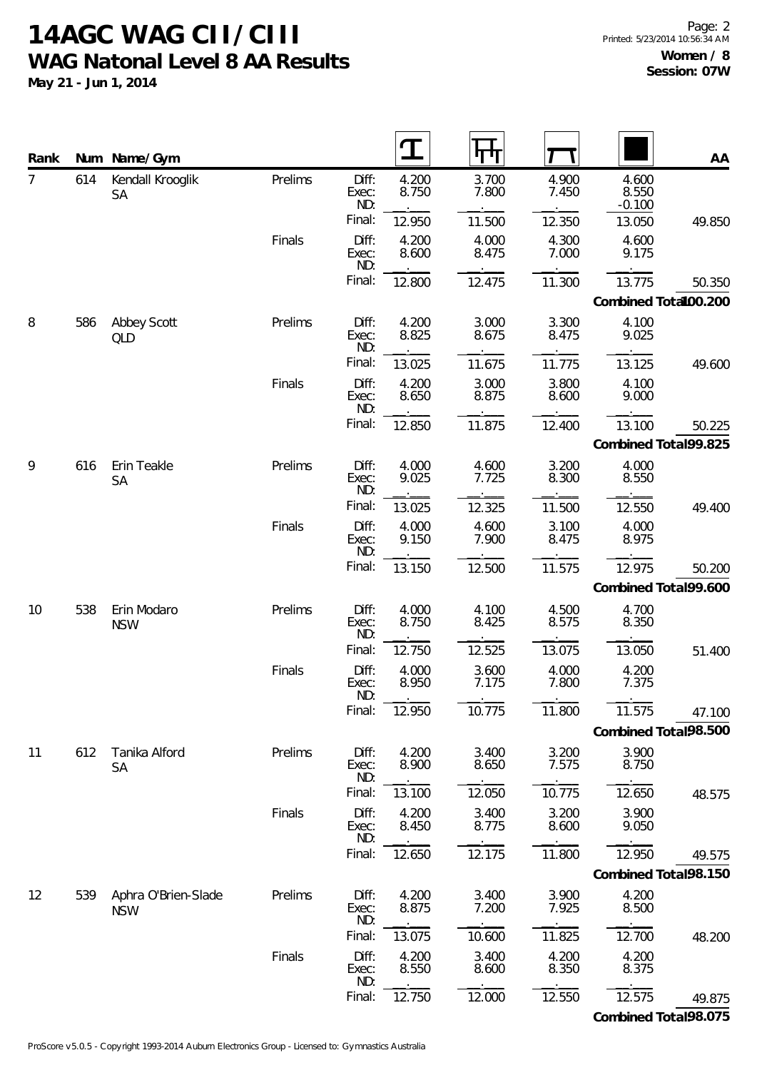**May 21 - Jun 1, 2014**

| Rank           |     | Num Name/Gym                      |         |                       |                |                |                |                            | AA                             |
|----------------|-----|-----------------------------------|---------|-----------------------|----------------|----------------|----------------|----------------------------|--------------------------------|
| $\overline{7}$ | 614 | Kendall Krooglik<br><b>SA</b>     | Prelims | Diff:<br>Exec:<br>ND: | 4.200<br>8.750 | 3.700<br>7.800 | 4.900<br>7.450 | 4.600<br>8.550<br>$-0.100$ |                                |
|                |     |                                   |         | Final:                | 12.950         | 11.500         | 12.350         | 13.050                     | 49.850                         |
|                |     |                                   | Finals  | Diff:<br>Exec:<br>ND: | 4.200<br>8.600 | 4.000<br>8.475 | 4.300<br>7.000 | 4.600<br>9.175             |                                |
|                |     |                                   |         | Final:                | 12.800         | 12.475         | 11.300         | 13.775                     | 50.350<br>Combined Total00.200 |
| 8              | 586 | Abbey Scott<br><b>QLD</b>         | Prelims | Diff:<br>Exec:<br>ND: | 4.200<br>8.825 | 3.000<br>8.675 | 3.300<br>8.475 | 4.100<br>9.025             |                                |
|                |     |                                   |         | Final:                | 13.025         | 11.675         | 11.775         | 13.125                     | 49.600                         |
|                |     |                                   | Finals  | Diff:<br>Exec:<br>ND: | 4.200<br>8.650 | 3.000<br>8.875 | 3.800<br>8.600 | 4.100<br>9.000             |                                |
|                |     |                                   |         | Final:                | 12.850         | 11.875         | 12.400         | 13.100                     | 50.225                         |
|                |     |                                   |         |                       |                |                |                |                            | Combined Total99.825           |
| 9              | 616 | Erin Teakle<br><b>SA</b>          | Prelims | Diff:<br>Exec:<br>ND: | 4.000<br>9.025 | 4.600<br>7.725 | 3.200<br>8.300 | 4.000<br>8.550             |                                |
|                |     |                                   |         | Final:                | 13.025         | 12.325         | 11.500         | 12.550                     | 49.400                         |
|                |     |                                   | Finals  | Diff:<br>Exec:<br>ND: | 4.000<br>9.150 | 4.600<br>7.900 | 3.100<br>8.475 | 4.000<br>8.975             |                                |
|                |     |                                   |         | Final:                | 13.150         | 12.500         | 11.575         | 12.975                     | 50.200                         |
|                |     |                                   |         |                       |                |                |                |                            | Combined Total99.600           |
| 10             | 538 | Erin Modaro<br><b>NSW</b>         | Prelims | Diff:<br>Exec:<br>ND: | 4.000<br>8.750 | 4.100<br>8.425 | 4.500<br>8.575 | 4.700<br>8.350             |                                |
|                |     |                                   |         | Final:                | 12.750         | 12.525         | 13.075         | 13.050                     | 51.400                         |
|                |     |                                   | Finals  | Diff:<br>Exec:<br>ND: | 4.000<br>8.950 | 3.600<br>7.175 | 4.000<br>7.800 | 4.200<br>7.375             |                                |
|                |     |                                   |         | Final:                | 12.950         | 10.775         | 11.800         | 11.575                     | 47.100                         |
|                |     |                                   |         |                       |                |                |                |                            | Combined Total98.500           |
| 11             | 612 | Tanika Alford<br><b>SA</b>        | Prelims | Diff:<br>Exec:<br>ND: | 4.200<br>8.900 | 3.400<br>8.650 | 3.200<br>7.575 | 3.900<br>8.750             |                                |
|                |     |                                   |         | Final:                | 13.100         | 12.050         | 10.775         | 12.650                     | 48.575                         |
|                |     |                                   | Finals  | Diff:<br>Exec:<br>ND: | 4.200<br>8.450 | 3.400<br>8.775 | 3.200<br>8.600 | 3.900<br>9.050             |                                |
|                |     |                                   |         | Final:                | 12.650         | 12.175         | 11.800         | 12.950                     | 49.575                         |
|                |     |                                   |         |                       |                |                |                |                            | Combined Total98.150           |
| 12             | 539 | Aphra O'Brien-Slade<br><b>NSW</b> | Prelims | Diff:<br>Exec:<br>ND: | 4.200<br>8.875 | 3.400<br>7.200 | 3.900<br>7.925 | 4.200<br>8.500             |                                |
|                |     |                                   |         | Final:                | 13.075         | 10.600         | 11.825         | 12.700                     | 48.200                         |
|                |     |                                   | Finals  | Diff:<br>Exec:<br>ND: | 4.200<br>8.550 | 3.400<br>8.600 | 4.200<br>8.350 | 4.200<br>8.375             |                                |
|                |     |                                   |         | Final:                | 12.750         | 12.000         | 12.550         | 12.575                     | 49.875                         |

**Combined Total:98.075**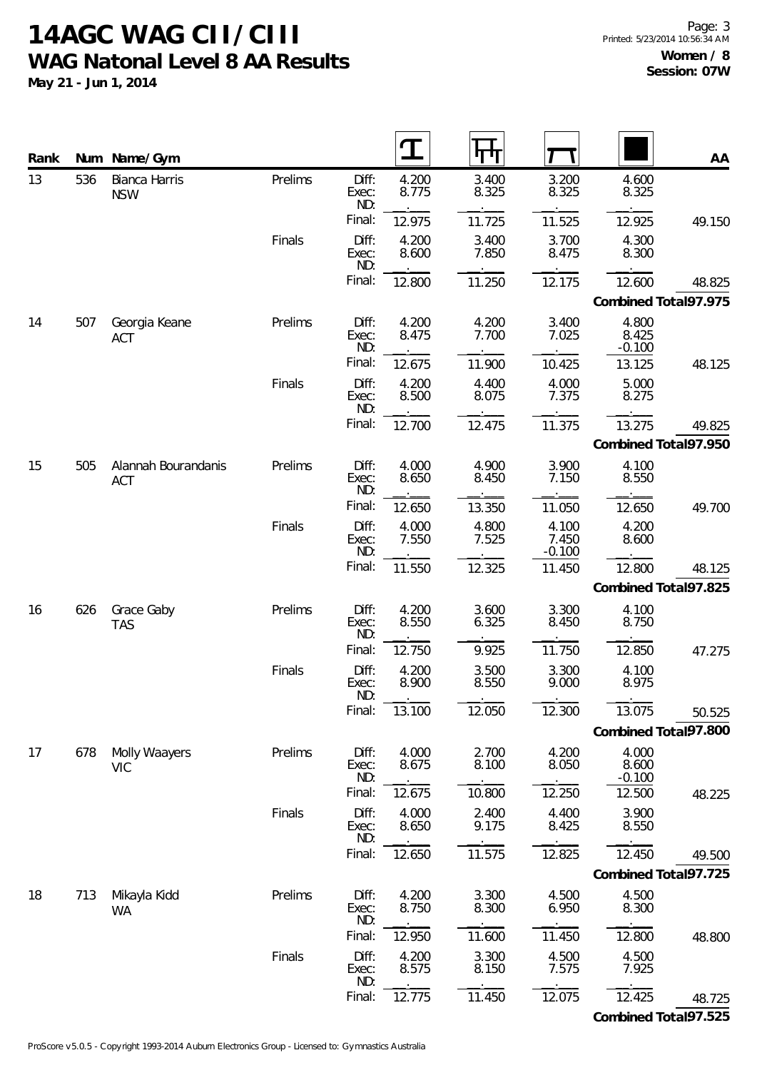**May 21 - Jun 1, 2014**

 $\overline{\phantom{a}}$ 

 $\overline{\phantom{a}}$ 

| Rank |     | Num Name/Gym                      |         |                       | T              |                |                            |                            | AA                   |
|------|-----|-----------------------------------|---------|-----------------------|----------------|----------------|----------------------------|----------------------------|----------------------|
| 13   | 536 | Bianca Harris<br><b>NSW</b>       | Prelims | Diff:<br>Exec:<br>ND: | 4.200<br>8.775 | 3.400<br>8.325 | 3.200<br>8.325             | 4.600<br>8.325             |                      |
|      |     |                                   |         | Final:                | 12.975         | 11.725         | 11.525                     | 12.925                     | 49.150               |
|      |     |                                   | Finals  | Diff:<br>Exec:<br>ND: | 4.200<br>8.600 | 3.400<br>7.850 | 3.700<br>8.475             | 4.300<br>8.300             |                      |
|      |     |                                   |         | Final:                | 12.800         | 11.250         | 12.175                     | 12.600                     | 48.825               |
|      |     |                                   |         |                       |                |                |                            |                            | Combined Total97.975 |
| 14   | 507 | Georgia Keane<br><b>ACT</b>       | Prelims | Diff:<br>Exec:<br>ND: | 4.200<br>8.475 | 4.200<br>7.700 | 3.400<br>7.025             | 4.800<br>8.425<br>$-0.100$ |                      |
|      |     |                                   |         | Final:                | 12.675         | 11.900         | 10.425                     | 13.125                     | 48.125               |
|      |     |                                   | Finals  | Diff:<br>Exec:<br>ND: | 4.200<br>8.500 | 4.400<br>8.075 | 4.000<br>7.375             | 5.000<br>8.275             |                      |
|      |     |                                   |         | Final:                | 12.700         | 12.475         | 11.375                     | 13.275                     | 49.825               |
|      |     |                                   |         |                       |                |                |                            |                            | Combined Total97.950 |
| 15   | 505 | Alannah Bourandanis<br><b>ACT</b> | Prelims | Diff:<br>Exec:<br>ND: | 4.000<br>8.650 | 4.900<br>8.450 | 3.900<br>7.150             | 4.100<br>8.550             |                      |
|      |     |                                   |         | Final:                | 12.650         | 13.350         | 11.050                     | 12.650                     | 49.700               |
|      |     |                                   | Finals  | Diff:<br>Exec:<br>ND: | 4.000<br>7.550 | 4.800<br>7.525 | 4.100<br>7.450<br>$-0.100$ | 4.200<br>8.600             |                      |
|      |     |                                   |         | Final:                | 11.550         | 12.325         | 11.450                     | 12.800                     | 48.125               |
|      |     |                                   |         |                       |                |                |                            |                            | Combined Total97.825 |
| 16   | 626 | Grace Gaby<br><b>TAS</b>          | Prelims | Diff:<br>Exec:<br>ND: | 4.200<br>8.550 | 3.600<br>6.325 | 3.300<br>8.450             | 4.100<br>8.750             |                      |
|      |     |                                   |         | Final:                | 12.750         | 9.925          | 11.750                     | 12.850                     | 47.275               |
|      |     |                                   | Finals  | Diff:<br>Exec:<br>ND: | 4.200<br>8.900 | 3.500<br>8.550 | 3.300<br>9.000             | 4.100<br>8.975             |                      |
|      |     |                                   |         | Final:                | 13.100         | 12.050         | 12.300                     | 13.075                     | 50.525               |
|      |     |                                   |         |                       |                |                |                            |                            | Combined Total97.800 |
| 17   | 678 | Molly Waayers<br><b>VIC</b>       | Prelims | Diff:<br>Exec:<br>ND: | 4.000<br>8.675 | 2.700<br>8.100 | 4.200<br>8.050             | 4.000<br>8.600<br>$-0.100$ |                      |
|      |     |                                   |         | Final:                | 12.675         | 10.800         | 12.250                     | 12.500                     | 48.225               |
|      |     |                                   | Finals  | Diff:<br>Exec:<br>ND: | 4.000<br>8.650 | 2.400<br>9.175 | 4.400<br>8.425             | 3.900<br>8.550             |                      |
|      |     |                                   |         | Final:                | 12.650         | 11.575         | 12.825                     | 12.450                     | 49.500               |
|      |     |                                   |         |                       |                |                |                            |                            | Combined Total97.725 |
| 18   | 713 | Mikayla Kidd<br>WA                | Prelims | Diff:<br>Exec:<br>ND: | 4.200<br>8.750 | 3.300<br>8.300 | 4.500<br>6.950             | 4.500<br>8.300             |                      |
|      |     |                                   |         | Final:                | 12.950         | 11.600         | 11.450                     | 12.800                     | 48.800               |
|      |     |                                   | Finals  | Diff:<br>Exec:<br>ND: | 4.200<br>8.575 | 3.300<br>8.150 | 4.500<br>7.575             | 4.500<br>7.925             |                      |
|      |     |                                   |         | Final:                | 12.775         | 11.450         | 12.075                     | 12.425                     | 48.725               |

**Combined Total:97.525**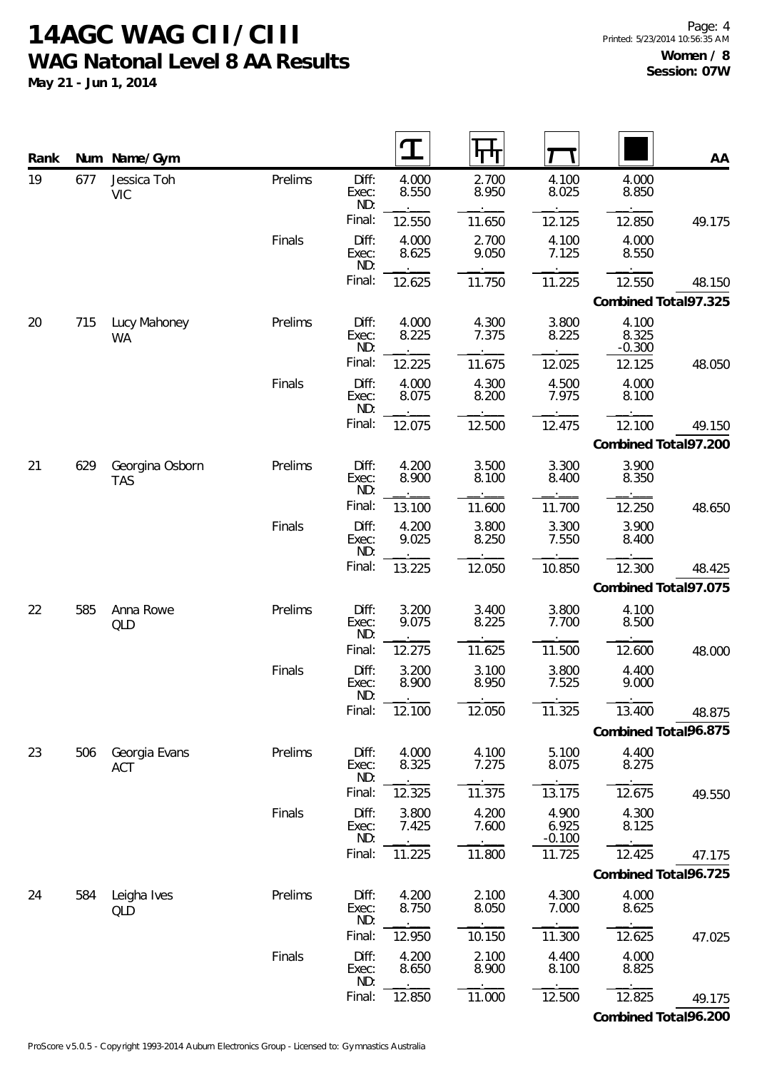**May 21 - Jun 1, 2014**

| Rank |     | Num Name/Gym                  |         |                       |                |                |                            |                            | AA                             |
|------|-----|-------------------------------|---------|-----------------------|----------------|----------------|----------------------------|----------------------------|--------------------------------|
| 19   | 677 | Jessica Toh<br><b>VIC</b>     | Prelims | Diff:<br>Exec:<br>ND: | 4.000<br>8.550 | 2.700<br>8.950 | 4.100<br>8.025             | 4.000<br>8.850             |                                |
|      |     |                               |         | Final:                | 12.550         | 11.650         | 12.125                     | 12.850                     | 49.175                         |
|      |     |                               | Finals  | Diff:<br>Exec:<br>ND: | 4.000<br>8.625 | 2.700<br>9.050 | 4.100<br>7.125             | 4.000<br>8.550             |                                |
|      |     |                               |         | Final:                | 12.625         | 11.750         | 11.225                     | 12.550                     | 48.150<br>Combined Total97.325 |
| 20   | 715 | Lucy Mahoney<br>WA            | Prelims | Diff:<br>Exec:<br>ND: | 4.000<br>8.225 | 4.300<br>7.375 | 3.800<br>8.225             | 4.100<br>8.325<br>$-0.300$ |                                |
|      |     |                               |         | Final:                | 12.225         | 11.675         | 12.025                     | 12.125                     | 48.050                         |
|      |     |                               | Finals  | Diff:<br>Exec:<br>ND: | 4.000<br>8.075 | 4.300<br>8.200 | 4.500<br>7.975             | 4.000<br>8.100             |                                |
|      |     |                               |         | Final:                | 12.075         | 12.500         | 12.475                     | 12.100                     | 49.150                         |
|      |     |                               |         |                       |                |                |                            |                            | Combined Total97.200           |
| 21   | 629 | Georgina Osborn<br><b>TAS</b> | Prelims | Diff:<br>Exec:<br>ND: | 4.200<br>8.900 | 3.500<br>8.100 | 3.300<br>8.400             | 3.900<br>8.350             |                                |
|      |     |                               |         | Final:                | 13.100         | 11.600         | 11.700                     | 12.250                     | 48.650                         |
|      |     |                               | Finals  | Diff:<br>Exec:<br>ND: | 4.200<br>9.025 | 3.800<br>8.250 | 3.300<br>7.550             | 3.900<br>8.400             |                                |
|      |     |                               |         | Final:                | 13.225         | 12.050         | 10.850                     | 12.300                     | 48.425                         |
|      |     |                               |         |                       |                |                |                            |                            | Combined Total97.075           |
| 22   | 585 | Anna Rowe<br>QLD              | Prelims | Diff:<br>Exec:<br>ND: | 3.200<br>9.075 | 3.400<br>8.225 | 3.800<br>7.700             | 4.100<br>8.500             |                                |
|      |     |                               |         | Final:                | 12.275         | 11.625         | 11.500                     | 12.600                     | 48.000                         |
|      |     |                               | Finals  | Diff:<br>Exec:<br>ND: | 3.200<br>8.900 | 3.100<br>8.950 | 3.800<br>7.525             | 4.400<br>9.000             |                                |
|      |     |                               |         | Final:                | 12.100         | 12.050         | 11.325                     | 13.400                     | 48.875                         |
|      |     |                               |         |                       |                |                |                            |                            | Combined Total96.875           |
| 23   | 506 | Georgia Evans<br>ACT          | Prelims | Diff:<br>Exec:<br>ND: | 4.000<br>8.325 | 4.100<br>7.275 | 5.100<br>8.075             | 4.400<br>8.275             |                                |
|      |     |                               |         | Final:                | 12.325         | 11.375         | 13.175                     | 12.675                     | 49.550                         |
|      |     |                               | Finals  | Diff:<br>Exec:<br>ND: | 3.800<br>7.425 | 4.200<br>7.600 | 4.900<br>6.925<br>$-0.100$ | 4.300<br>8.125             |                                |
|      |     |                               |         | Final:                | 11.225         | 11.800         | 11.725                     | 12.425                     | 47.175                         |
|      |     |                               |         |                       |                |                |                            |                            | Combined Total96.725           |
| 24   | 584 | Leigha Ives<br>QLD            | Prelims | Diff:<br>Exec:<br>ND: | 4.200<br>8.750 | 2.100<br>8.050 | 4.300<br>7.000             | 4.000<br>8.625             |                                |
|      |     |                               |         | Final:                | 12.950         | 10.150         | 11.300                     | 12.625                     | 47.025                         |
|      |     |                               | Finals  | Diff:<br>Exec:<br>ND: | 4.200<br>8.650 | 2.100<br>8.900 | 4.400<br>8.100             | 4.000<br>8.825             |                                |
|      |     |                               |         | Final:                | 12.850         | 11.000         | 12.500                     | 12.825                     | 49.175                         |

**Combined Total:96.200**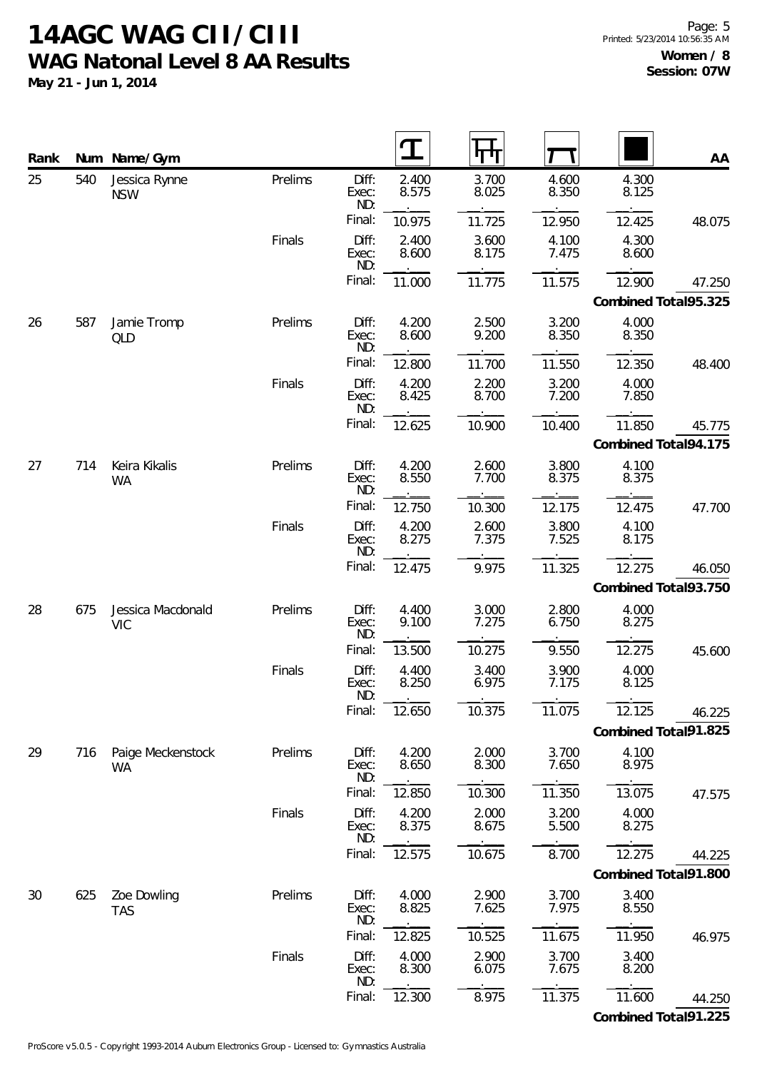**May 21 - Jun 1, 2014**

| Rank |     | Num Name/Gym                    |         |                       |                |                |                |                | AA                   |
|------|-----|---------------------------------|---------|-----------------------|----------------|----------------|----------------|----------------|----------------------|
| 25   | 540 | Jessica Rynne<br><b>NSW</b>     | Prelims | Diff:<br>Exec:<br>ND: | 2.400<br>8.575 | 3.700<br>8.025 | 4.600<br>8.350 | 4.300<br>8.125 |                      |
|      |     |                                 |         | Final:                | 10.975         | 11.725         | 12.950         | 12.425         | 48.075               |
|      |     |                                 | Finals  | Diff:<br>Exec:<br>ND: | 2.400<br>8.600 | 3.600<br>8.175 | 4.100<br>7.475 | 4.300<br>8.600 |                      |
|      |     |                                 |         | Final:                | 11.000         | 11.775         | 11.575         | 12.900         | 47.250               |
|      |     |                                 |         |                       |                |                |                |                | Combined Total95.325 |
| 26   | 587 | Jamie Tromp<br>QLD              | Prelims | Diff:<br>Exec:<br>ND: | 4.200<br>8.600 | 2.500<br>9.200 | 3.200<br>8.350 | 4.000<br>8.350 |                      |
|      |     |                                 |         | Final:                | 12.800         | 11.700         | 11.550         | 12.350         | 48.400               |
|      |     |                                 | Finals  | Diff:<br>Exec:<br>ND: | 4.200<br>8.425 | 2.200<br>8.700 | 3.200<br>7.200 | 4.000<br>7.850 |                      |
|      |     |                                 |         | Final:                | 12.625         | 10.900         | 10.400         | 11.850         | 45.775               |
|      |     |                                 |         |                       |                |                |                |                | Combined Total94.175 |
| 27   | 714 | Keira Kikalis<br><b>WA</b>      | Prelims | Diff:<br>Exec:<br>ND: | 4.200<br>8.550 | 2.600<br>7.700 | 3.800<br>8.375 | 4.100<br>8.375 |                      |
|      |     |                                 |         | Final:                | 12.750         | 10.300         | 12.175         | 12.475         | 47.700               |
|      |     |                                 | Finals  | Diff:<br>Exec:<br>ND: | 4.200<br>8.275 | 2.600<br>7.375 | 3.800<br>7.525 | 4.100<br>8.175 |                      |
|      |     |                                 |         | Final:                | 12.475         | 9.975          | 11.325         | 12.275         | 46.050               |
|      |     |                                 |         |                       |                |                |                |                | Combined Total93.750 |
| 28   | 675 | Jessica Macdonald<br><b>VIC</b> | Prelims | Diff:<br>Exec:<br>ND: | 4.400<br>9.100 | 3.000<br>7.275 | 2.800<br>6.750 | 4.000<br>8.275 |                      |
|      |     |                                 |         | Final:                | 13.500         | 10.275         | 9.550          | 12.275         | 45.600               |
|      |     |                                 | Finals  | Diff:<br>Exec:<br>ND: | 4.400<br>8.250 | 3.400<br>6.975 | 3.900<br>7.175 | 4.000<br>8.125 |                      |
|      |     |                                 |         | Final:                | 12.650         | 10.375         | 11.075         | 12.125         | 46.225               |
|      |     |                                 |         |                       |                |                |                |                | Combined Total91.825 |
| 29   | 716 | Paige Meckenstock<br>WA         | Prelims | Diff:<br>Exec:<br>ND: | 4.200<br>8.650 | 2.000<br>8.300 | 3.700<br>7.650 | 4.100<br>8.975 |                      |
|      |     |                                 |         | Final:                | 12.850         | 10.300         | 11.350         | 13.075         | 47.575               |
|      |     |                                 | Finals  | Diff:<br>Exec:<br>ND: | 4.200<br>8.375 | 2.000<br>8.675 | 3.200<br>5.500 | 4.000<br>8.275 |                      |
|      |     |                                 |         | Final:                | 12.575         | 10.675         | 8.700          | 12.275         | 44.225               |
|      |     |                                 |         |                       |                |                |                |                | Combined Total91.800 |
| 30   | 625 | Zoe Dowling<br><b>TAS</b>       | Prelims | Diff:<br>Exec:<br>ND: | 4.000<br>8.825 | 2.900<br>7.625 | 3.700<br>7.975 | 3.400<br>8.550 |                      |
|      |     |                                 |         | Final:                | 12.825         | 10.525         | 11.675         | 11.950         | 46.975               |
|      |     |                                 | Finals  | Diff:<br>Exec:<br>ND: | 4.000<br>8.300 | 2.900<br>6.075 | 3.700<br>7.675 | 3.400<br>8.200 |                      |
|      |     |                                 |         | Final:                | 12.300         | 8.975          | 11.375         | 11.600         | 44.250               |

**Combined Total:91.225**